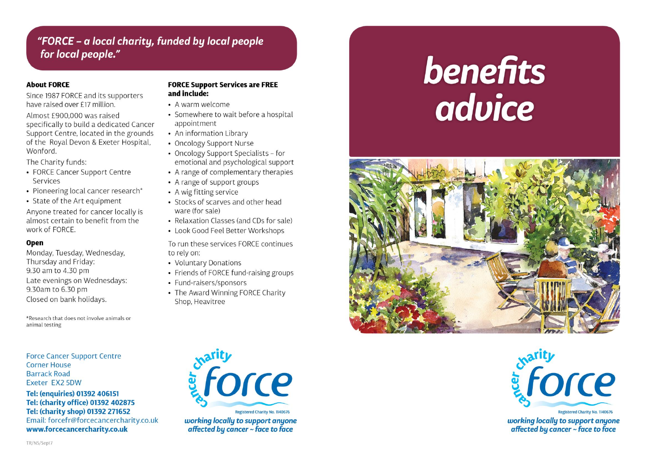# "FORCE - a local charity, funded by local people for local people."

### **About FORCE**

Since 1987 FORCE and its supporters have raised over £17 million.

Almost £900.000 was raised specifically to build a dedicated Cancer Support Centre, located in the grounds of the Royal Devon & Exeter Hospital, Wonford

The Charity funds:

- FORCE Cancer Support Centre Services
- Pioneering local cancer research\*
- State of the Art equipment

Anyone treated for cancer locally is almost certain to benefit from the work of FORCE.

### Open

Monday, Tuesday, Wednesday, Thursday and Friday: 9.30 am to 4.30 pm Late evenings on Wednesdays: 9.30am to 6.30 pm Closed on bank holidays.

\*Research that does not involve animals or animal testing

**Force Cancer Support Centre Corner House Barrack Road** Exeter EX2 5DW

Tel: (enquiries) 01392 406151 Tel: (charity office) 01392 402875 Tel: (charity shop) 01392 271652 Email: forcefr@forcecancercharity.co.uk www.forcecancercharity.co.uk

### **FORCE Support Services are FREE** and include:

- A warm welcome
- Somewhere to wait before a hospital appointment
- An information Library
- Oncology Support Nurse
- Oncology Support Specialists for emotional and psychological support
- A range of complementary therapies
- A range of support groups
- A wig fitting service
- Stocks of scarves and other head ware (for sale)
- Relaxation Classes (and CDs for sale)
- Look Good Feel Better Workshops

To run these services FORCE continues to rely on:

- Voluntary Donations
- Friends of FORCE fund-raising groups
- Fund-raisers/sponsors
- The Award Winning FORCE Charity Shop, Heavitree

advice



**benefits** 



working locally to support anyone affected by cancer  $\sim$  face to face



working locally to support anyone affected by cancer  $\sim$  face to face